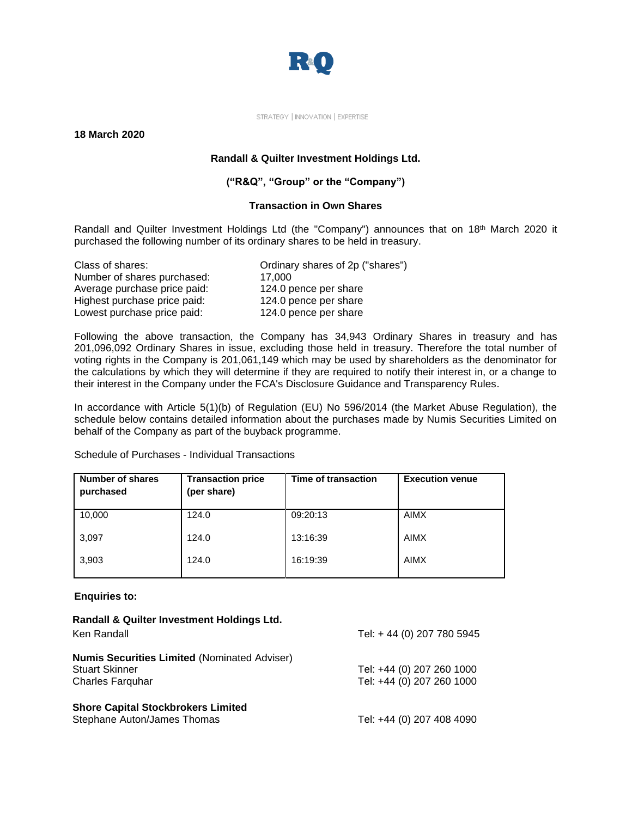

STRATEGY | INNOVATION | EXPERTISE

**18 March 2020**

## **Randall & Quilter Investment Holdings Ltd.**

## **("R&Q", "Group" or the "Company")**

## **Transaction in Own Shares**

Randall and Quilter Investment Holdings Ltd (the "Company") announces that on 18<sup>th</sup> March 2020 it purchased the following number of its ordinary shares to be held in treasury.

| Class of shares:             | Ordinary shares of 2p ("shares") |
|------------------------------|----------------------------------|
| Number of shares purchased:  | 17.000                           |
| Average purchase price paid: | 124.0 pence per share            |
| Highest purchase price paid: | 124.0 pence per share            |
| Lowest purchase price paid:  | 124.0 pence per share            |

Following the above transaction, the Company has 34,943 Ordinary Shares in treasury and has 201,096,092 Ordinary Shares in issue, excluding those held in treasury. Therefore the total number of voting rights in the Company is 201,061,149 which may be used by shareholders as the denominator for the calculations by which they will determine if they are required to notify their interest in, or a change to their interest in the Company under the FCA's Disclosure Guidance and Transparency Rules.

In accordance with Article 5(1)(b) of Regulation (EU) No 596/2014 (the Market Abuse Regulation), the schedule below contains detailed information about the purchases made by Numis Securities Limited on behalf of the Company as part of the buyback programme.

| <b>Number of shares</b><br>purchased | <b>Transaction price</b><br>(per share) | Time of transaction | <b>Execution venue</b> |
|--------------------------------------|-----------------------------------------|---------------------|------------------------|
| 10,000                               | 124.0                                   | 09:20:13            | AIMX                   |
| 3,097                                | 124.0                                   | 13:16:39            | AIMX                   |
| 3,903                                | 124.0                                   | 16:19:39            | AIMX                   |

Schedule of Purchases - Individual Transactions

**Enquiries to:**

| Randall & Quilter Investment Holdings Ltd.<br>Ken Randall                                               | Tel: +44 (0) 207 780 5945                              |
|---------------------------------------------------------------------------------------------------------|--------------------------------------------------------|
| <b>Numis Securities Limited (Nominated Adviser)</b><br><b>Stuart Skinner</b><br><b>Charles Farguhar</b> | Tel: +44 (0) 207 260 1000<br>Tel: +44 (0) 207 260 1000 |
| <b>Shore Capital Stockbrokers Limited</b><br>Stephane Auton/James Thomas                                | Tel: +44 (0) 207 408 4090                              |